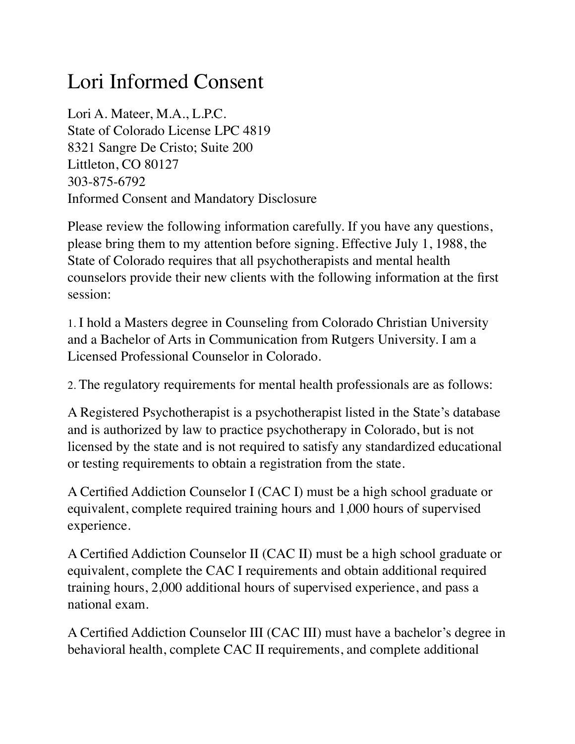## Lori Informed Consent

Lori A. Mateer, M.A., L.P.C. State of Colorado License LPC 4819 8321 Sangre De Cristo; Suite 200 Littleton, CO 80127 303-875-6792 Informed Consent and Mandatory Disclosure

Please review the following information carefully. If you have any questions, please bring them to my attention before signing. Effective July 1, 1988, the State of Colorado requires that all psychotherapists and mental health counselors provide their new clients with the following information at the first session:

1. I hold a Masters degree in Counseling from Colorado Christian University and a Bachelor of Arts in Communication from Rutgers University. I am a Licensed Professional Counselor in Colorado.

2. The regulatory requirements for mental health professionals are as follows:

A Registered Psychotherapist is a psychotherapist listed in the State's database and is authorized by law to practice psychotherapy in Colorado, but is not licensed by the state and is not required to satisfy any standardized educational or testing requirements to obtain a registration from the state.

A Certified Addiction Counselor I (CAC I) must be a high school graduate or equivalent, complete required training hours and 1,000 hours of supervised experience.

A Certified Addiction Counselor II (CAC II) must be a high school graduate or equivalent, complete the CAC I requirements and obtain additional required training hours, 2,000 additional hours of supervised experience, and pass a national exam.

A Certified Addiction Counselor III (CAC III) must have a bachelor's degree in behavioral health, complete CAC II requirements, and complete additional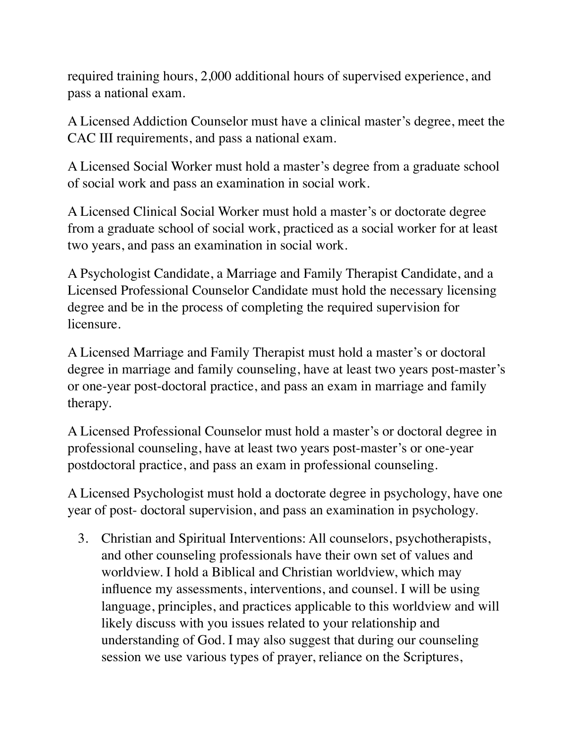required training hours, 2,000 additional hours of supervised experience, and pass a national exam.

A Licensed Addiction Counselor must have a clinical master's degree, meet the CAC III requirements, and pass a national exam.

A Licensed Social Worker must hold a master's degree from a graduate school of social work and pass an examination in social work.

A Licensed Clinical Social Worker must hold a master's or doctorate degree from a graduate school of social work, practiced as a social worker for at least two years, and pass an examination in social work.

A Psychologist Candidate, a Marriage and Family Therapist Candidate, and a Licensed Professional Counselor Candidate must hold the necessary licensing degree and be in the process of completing the required supervision for licensure.

A Licensed Marriage and Family Therapist must hold a master's or doctoral degree in marriage and family counseling, have at least two years post-master's or one-year post-doctoral practice, and pass an exam in marriage and family therapy.

A Licensed Professional Counselor must hold a master's or doctoral degree in professional counseling, have at least two years post-master's or one-year postdoctoral practice, and pass an exam in professional counseling.

A Licensed Psychologist must hold a doctorate degree in psychology, have one year of post- doctoral supervision, and pass an examination in psychology.

3. Christian and Spiritual Interventions: All counselors, psychotherapists, and other counseling professionals have their own set of values and worldview. I hold a Biblical and Christian worldview, which may influence my assessments, interventions, and counsel. I will be using language, principles, and practices applicable to this worldview and will likely discuss with you issues related to your relationship and understanding of God. I may also suggest that during our counseling session we use various types of prayer, reliance on the Scriptures,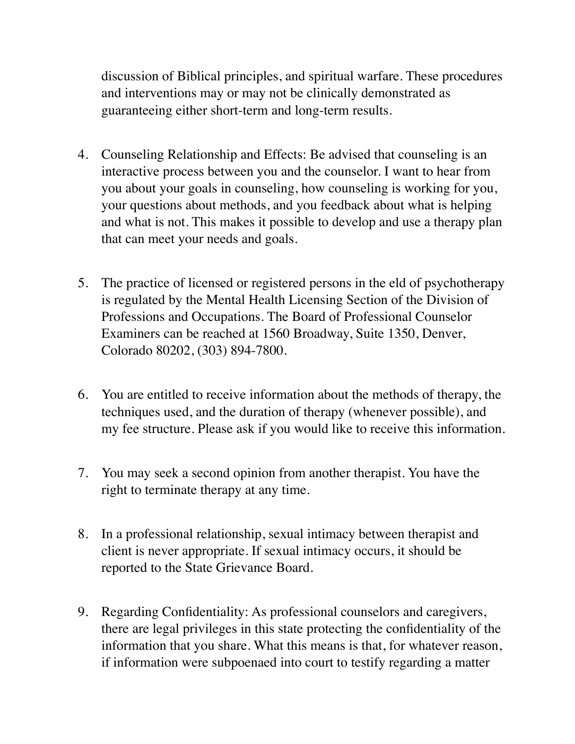discussion of Biblical principles, and spiritual warfare. These procedures and interventions may or may not be clinically demonstrated as guaranteeing either short-term and long-term results.

- 4. Counseling Relationship and Effects: Be advised that counseling is an interactive process between you and the counselor. I want to hear from you about your goals in counseling, how counseling is working for you, your questions about methods, and you feedback about what is helping and what is not. This makes it possible to develop and use a therapy plan that can meet your needs and goals.
- 5. The practice of licensed or registered persons in the eld of psychotherapy is regulated by the Mental Health Licensing Section of the Division of Professions and Occupations. The Board of Professional Counselor Examiners can be reached at 1560 Broadway, Suite 1350, Denver, Colorado 80202, (303) 894-7800.
- 6. You are entitled to receive information about the methods of therapy, the techniques used, and the duration of therapy (whenever possible), and my fee structure. Please ask if you would like to receive this information.
- 7. You may seek a second opinion from another therapist. You have the right to terminate therapy at any time.
- 8. In a professional relationship, sexual intimacy between therapist and client is never appropriate. If sexual intimacy occurs, it should be reported to the State Grievance Board.
- 9. Regarding Confidentiality: As professional counselors and caregivers, there are legal privileges in this state protecting the confidentiality of the information that you share. What this means is that, for whatever reason, if information were subpoenaed into court to testify regarding a matter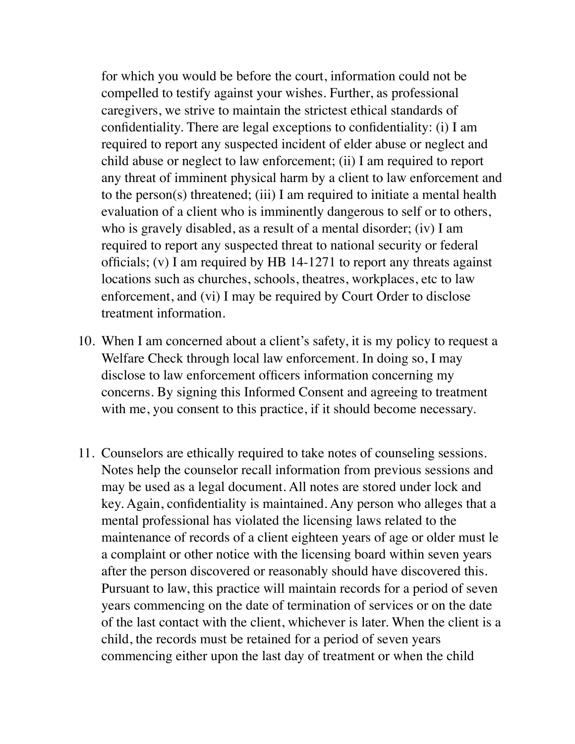for which you would be before the court, information could not be compelled to testify against your wishes. Further, as professional caregivers, we strive to maintain the strictest ethical standards of confidentiality. There are legal exceptions to confidentiality: (i) I am required to report any suspected incident of elder abuse or neglect and child abuse or neglect to law enforcement; (ii) I am required to report any threat of imminent physical harm by a client to law enforcement and to the person(s) threatened; (iii) I am required to initiate a mental health evaluation of a client who is imminently dangerous to self or to others, who is gravely disabled, as a result of a mental disorder; (iv) I am required to report any suspected threat to national security or federal officials; (v) I am required by HB 14-1271 to report any threats against locations such as churches, schools, theatres, workplaces, etc to law enforcement, and (vi) I may be required by Court Order to disclose treatment information.

- 10. When I am concerned about a client's safety, it is my policy to request a Welfare Check through local law enforcement. In doing so, I may disclose to law enforcement officers information concerning my concerns. By signing this Informed Consent and agreeing to treatment with me, you consent to this practice, if it should become necessary.
- 11. Counselors are ethically required to take notes of counseling sessions. Notes help the counselor recall information from previous sessions and may be used as a legal document. All notes are stored under lock and key. Again, confidentiality is maintained. Any person who alleges that a mental professional has violated the licensing laws related to the maintenance of records of a client eighteen years of age or older must le a complaint or other notice with the licensing board within seven years after the person discovered or reasonably should have discovered this. Pursuant to law, this practice will maintain records for a period of seven years commencing on the date of termination of services or on the date of the last contact with the client, whichever is later. When the client is a child, the records must be retained for a period of seven years commencing either upon the last day of treatment or when the child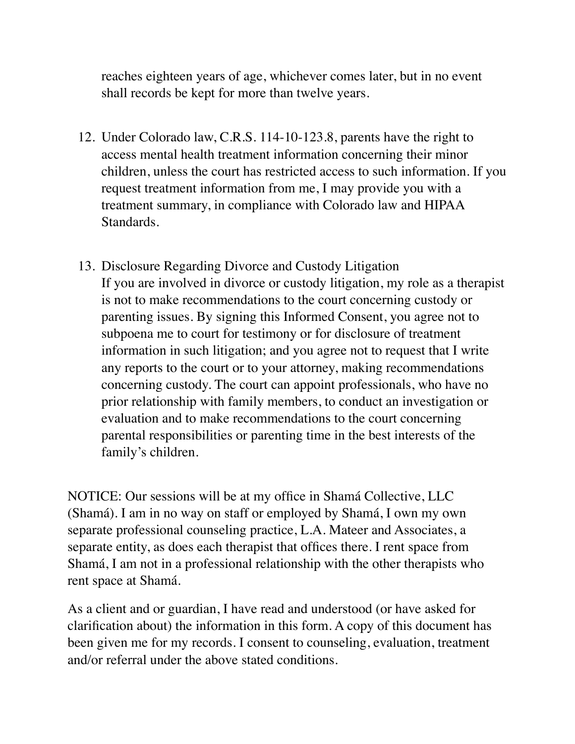reaches eighteen years of age, whichever comes later, but in no event shall records be kept for more than twelve years.

- 12. Under Colorado law, C.R.S. 114-10-123.8, parents have the right to access mental health treatment information concerning their minor children, unless the court has restricted access to such information. If you request treatment information from me, I may provide you with a treatment summary, in compliance with Colorado law and HIPAA Standards.
- 13. Disclosure Regarding Divorce and Custody Litigation If you are involved in divorce or custody litigation, my role as a therapist is not to make recommendations to the court concerning custody or parenting issues. By signing this Informed Consent, you agree not to subpoena me to court for testimony or for disclosure of treatment information in such litigation; and you agree not to request that I write any reports to the court or to your attorney, making recommendations concerning custody. The court can appoint professionals, who have no prior relationship with family members, to conduct an investigation or evaluation and to make recommendations to the court concerning parental responsibilities or parenting time in the best interests of the family's children.

NOTICE: Our sessions will be at my office in Shamá Collective, LLC (Shamá). I am in no way on staff or employed by Shamá, I own my own separate professional counseling practice, L.A. Mateer and Associates, a separate entity, as does each therapist that offices there. I rent space from Shamá, I am not in a professional relationship with the other therapists who rent space at Shamá.

As a client and or guardian, I have read and understood (or have asked for clarification about) the information in this form. A copy of this document has been given me for my records. I consent to counseling, evaluation, treatment and/or referral under the above stated conditions.